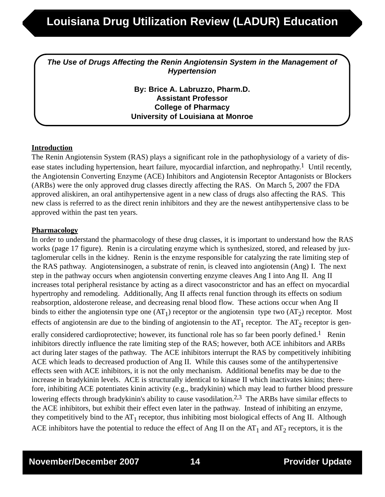*The Use of Drugs Affecting the Renin Angiotensin System in the Management of Hypertension*

> **By: Brice A. Labruzzo, Pharm.D. Assistant Professor College of Pharmacy University of Louisiana at Monroe**

### **Introduction**

The Renin Angiotensin System (RAS) plays a significant role in the pathophysiology of a variety of disease states including hypertension, heart failure, myocardial infarction, and nephropathy.<sup>1</sup> Until recently, the Angiotensin Converting Enzyme (ACE) Inhibitors and Angiotensin Receptor Antagonists or Blockers (ARBs) were the only approved drug classes directly affecting the RAS. On March 5, 2007 the FDA approved aliskiren, an oral antihypertensive agent in a new class of drugs also affecting the RAS. This new class is referred to as the direct renin inhibitors and they are the newest antihypertensive class to be approved within the past ten years.

### **Pharmacology**

In order to understand the pharmacology of these drug classes, it is important to understand how the RAS works (page 17 figure). Renin is a circulating enzyme which is synthesized, stored, and released by juxtaglomerular cells in the kidney. Renin is the enzyme responsible for catalyzing the rate limiting step of the RAS pathway. Angiotensinogen, a substrate of renin, is cleaved into angiotensin (Ang) I. The next step in the pathway occurs when angiotensin converting enzyme cleaves Ang I into Ang II. Ang II increases total peripheral resistance by acting as a direct vasoconstrictor and has an effect on myocardial hypertrophy and remodeling. Additionally, Ang II affects renal function through its effects on sodium reabsorption, aldosterone release, and decreasing renal blood flow. These actions occur when Ang II binds to either the angiotensin type one  $(AT_1)$  receptor or the angiotensin type two  $(AT_2)$  receptor. Most effects of angiotensin are due to the binding of angiotensin to the  $AT_1$  receptor. The  $AT_2$  receptor is generally considered cardioprotective; however, its functional role has so far been poorly defined.<sup>1</sup> Renin inhibitors directly influence the rate limiting step of the RAS; however, both ACE inhibitors and ARBs act during later stages of the pathway. The ACE inhibitors interrupt the RAS by competitively inhibiting ACE which leads to decreased production of Ang II. While this causes some of the antihypertensive effects seen with ACE inhibitors, it is not the only mechanism. Additional benefits may be due to the increase in bradykinin levels. ACE is structurally identical to kinase II which inactivates kinins; therefore, inhibiting ACE potentiates kinin activity (e.g., bradykinin) which may lead to further blood pressure lowering effects through bradykinin's ability to cause vasodilation.<sup>2,3</sup> The ARBs have similar effects to the ACE inhibitors, but exhibit their effect even later in the pathway. Instead of inhibiting an enzyme, they competitively bind to the  $AT_1$  receptor, thus inhibiting most biological effects of Ang II. Although

ACE inhibitors have the potential to reduce the effect of Ang II on the  $AT_1$  and  $AT_2$  receptors, it is the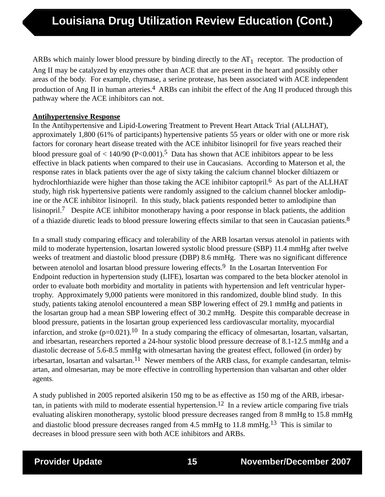ARBs which mainly lower blood pressure by binding directly to the  $AT<sub>1</sub>$  receptor. The production of Ang II may be catalyzed by enzymes other than ACE that are present in the heart and possibly other areas of the body. For example, chymase, a serine protease, has been associated with ACE independent production of Ang II in human arteries.<sup>4</sup> ARBs can inhibit the effect of the Ang II produced through this pathway where the ACE inhibitors can not.

### **Antihypertensive Response**

In the Antihypertensive and Lipid-Lowering Treatment to Prevent Heart Attack Trial (ALLHAT), approximately 1,800 (61% of participants) hypertensive patients 55 years or older with one or more risk factors for coronary heart disease treated with the ACE inhibitor lisinopril for five years reached their blood pressure goal of  $\langle 140/90 \ (P \langle 0.001 \rangle)^5$  Data has shown that ACE inhibitors appear to be less effective in black patients when compared to their use in Caucasians. According to Materson et al, the response rates in black patients over the age of sixty taking the calcium channel blocker diltiazem or hydrochlorthiazide were higher than those taking the ACE inhibitor captopril.<sup>6</sup> As part of the ALLHAT study, high risk hypertensive patients were randomly assigned to the calcium channel blocker amlodipine or the ACE inhibitor lisinopril. In this study, black patients responded better to amlodipine than lisinopril.7 Despite ACE inhibitor monotherapy having a poor response in black patients, the addition of a thiazide diuretic leads to blood pressure lowering effects similar to that seen in Caucasian patients.8

In a small study comparing efficacy and tolerability of the ARB losartan versus atenolol in patients with mild to moderate hypertension, losartan lowered systolic blood pressure (SBP) 11.4 mmHg after twelve weeks of treatment and diastolic blood pressure (DBP) 8.6 mmHg. There was no significant difference between atenolol and losartan blood pressure lowering effects.<sup>9</sup> In the Losartan Intervention For Endpoint reduction in hypertension study (LIFE), losartan was compared to the beta blocker atenolol in order to evaluate both morbidity and mortality in patients with hypertension and left ventricular hypertrophy. Approximately 9,000 patients were monitored in this randomized, double blind study. In this study, patients taking atenolol encountered a mean SBP lowering effect of 29.1 mmHg and patients in the losartan group had a mean SBP lowering effect of 30.2 mmHg. Despite this comparable decrease in blood pressure, patients in the losartan group experienced less cardiovascular mortality, myocardial infarction, and stroke  $(p=0.021)$ .<sup>10</sup> In a study comparing the efficacy of olmesartan, losartan, valsartan, and irbesartan, researchers reported a 24-hour systolic blood pressure decrease of 8.1-12.5 mmHg and a diastolic decrease of 5.6-8.5 mmHg with olmesartan having the greatest effect, followed (in order) by irbesartan, losartan and valsartan.<sup>11</sup> Newer members of the ARB class, for example candesartan, telmisartan, and olmesartan, may be more effective in controlling hypertension than valsartan and other older agents.

A study published in 2005 reported alsikerin 150 mg to be as effective as 150 mg of the ARB, irbesartan, in patients with mild to moderate essential hypertension.<sup>12</sup> In a review article comparing five trials evaluating aliskiren monotherapy, systolic blood pressure decreases ranged from 8 mmHg to 15.8 mmHg and diastolic blood pressure decreases ranged from 4.5 mmHg to 11.8 mmHg.<sup>13</sup> This is similar to decreases in blood pressure seen with both ACE inhibitors and ARBs.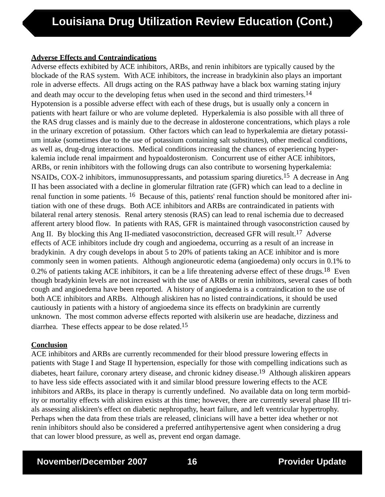## **Adverse Effects and Contraindications**

Adverse effects exhibited by ACE inhibitors, ARBs, and renin inhibitors are typically caused by the blockade of the RAS system. With ACE inhibitors, the increase in bradykinin also plays an important role in adverse effects. All drugs acting on the RAS pathway have a black box warning stating injury and death may occur to the developing fetus when used in the second and third trimesters.<sup>14</sup> Hypotension is a possible adverse effect with each of these drugs, but is usually only a concern in patients with heart failure or who are volume depleted. Hyperkalemia is also possible with all three of the RAS drug classes and is mainly due to the decrease in aldosterone concentrations, which plays a role in the urinary excretion of potassium. Other factors which can lead to hyperkalemia are dietary potassium intake (sometimes due to the use of potassium containing salt substitutes), other medical conditions, as well as, drug-drug interactions. Medical conditions increasing the chances of experiencing hyperkalemia include renal impairment and hypoaldosteronism. Concurrent use of either ACE inhibitors, ARBs, or renin inhibitors with the following drugs can also contribute to worsening hyperkalemia: NSAIDs, COX-2 inhibitors, immunosuppressants, and potassium sparing diuretics.15 A decrease in Ang II has been associated with a decline in glomerular filtration rate (GFR) which can lead to a decline in renal function in some patients. 16 Because of this, patients' renal function should be monitored after initiation with one of these drugs. Both ACE inhibitors and ARBs are contraindicated in patients with bilateral renal artery stenosis. Renal artery stenosis (RAS) can lead to renal ischemia due to decreased afferent artery blood flow. In patients with RAS, GFR is maintained through vasoconstriction caused by Ang II. By blocking this Ang II-mediated vasoconstriction, decreased GFR will result.<sup>17</sup> Adverse effects of ACE inhibitors include dry cough and angioedema, occurring as a result of an increase in bradykinin. A dry cough develops in about 5 to 20% of patients taking an ACE inhibitor and is more commonly seen in women patients. Although angioneurotic edema (angioedema) only occurs in 0.1% to 0.2% of patients taking ACE inhibitors, it can be a life threatening adverse effect of these drugs.<sup>18</sup> Even though bradykinin levels are not increased with the use of ARBs or renin inhibitors, several cases of both cough and angioedema have been reported. A history of angioedema is a contraindication to the use of both ACE inhibitors and ARBs. Although aliskiren has no listed contraindications, it should be used cautiously in patients with a history of angioedema since its effects on bradykinin are currently unknown. The most common adverse effects reported with alsikerin use are headache, dizziness and diarrhea. These effects appear to be dose related.15

## **Conclusion**

ACE inhibitors and ARBs are currently recommended for their blood pressure lowering effects in patients with Stage I and Stage II hypertension, especially for those with compelling indications such as diabetes, heart failure, coronary artery disease, and chronic kidney disease.19 Although aliskiren appears to have less side effects associated with it and similar blood pressure lowering effects to the ACE inhibitors and ARBs, its place in therapy is currently undefined. No available data on long term morbidity or mortality effects with aliskiren exists at this time; however, there are currently several phase III trials assessing aliskiren's effect on diabetic nephropathy, heart failure, and left ventricular hypertrophy. Perhaps when the data from these trials are released, clinicians will have a better idea whether or not renin inhibitors should also be considered a preferred antihypertensive agent when considering a drug that can lower blood pressure, as well as, prevent end organ damage.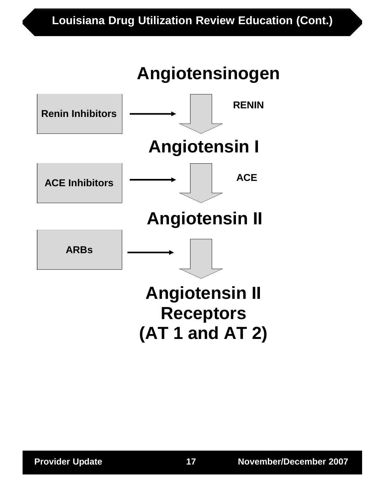# **Louisiana Drug Utilization Review Education (Cont.)**

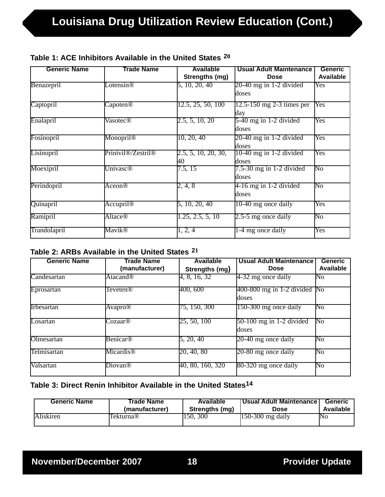| <b>Generic Name</b> | Trade Name                                  | <b>Available</b>    | <b>Usual Adult Maintenance</b> | <b>Generic</b>   |
|---------------------|---------------------------------------------|---------------------|--------------------------------|------------------|
|                     |                                             | Strengths (mg)      | <b>Dose</b>                    | <b>Available</b> |
| Benazepril          | Lotensin <sup>®</sup>                       | 5, 10, 20, 40       | $20-40$ mg in 1-2 divided      | Yes              |
|                     |                                             |                     | doses                          |                  |
| Captopril           | Capoten@                                    | 12.5, 25, 50, 100   | $12.5 - 150$ mg 2-3 times per  | Yes              |
|                     |                                             |                     | day                            |                  |
| Enalapril           | Vasotec®                                    | 2.5, 5, 10, 20      | $5-40$ mg in 1-2 divided       | Yes              |
|                     |                                             |                     | doses                          |                  |
| Fosinopril          | Monopril <sup>®</sup>                       | 10, 20, 40          | $20-40$ mg in 1-2 divided      | Yes              |
|                     |                                             |                     | doses                          |                  |
| Lisinopril          | Prinivil <sup>®</sup> /Zestril <sup>®</sup> | 2.5, 5, 10, 20, 30, | $10-40$ mg in 1-2 divided      | Yes              |
|                     |                                             | 40                  | doses                          |                  |
| Moexipril           | <b>Univasc<sup>®</sup></b>                  | 7.5, 15             | $7.5-30$ mg in 1-2 divided     | No               |
|                     |                                             |                     | doses                          |                  |
| Perindopril         | Aceon®                                      | 2, 4, 8             | $4-16$ mg in 1-2 divided       | No               |
|                     |                                             |                     | doses                          |                  |
| Quinapril           | <b>Accupril<sup>®</sup></b>                 | 5, 10, 20, 40       | 10-40 mg once daily            | Yes              |
|                     |                                             |                     |                                |                  |
| Ramipril            | <b>Altace®</b>                              | 1.25, 2.5, 5, 10    | $2.5-5$ mg once daily          | No               |
| Trandolapril        | Mavik®                                      | 1, 2, 4             | 1-4 mg once daily              | Yes              |
|                     |                                             |                     |                                |                  |

# **Table 1: ACE Inhibitors Available in the United States 20**

## **Table 2: ARBs Available in the United States 21**

| <b>Generic Name</b> | Trade Name                | <b>Available</b> | <b>Usual Adult Maintenance</b>          | <b>Generic</b>         |
|---------------------|---------------------------|------------------|-----------------------------------------|------------------------|
|                     | (manufacturer)            | Strengths (mg)   | <b>Dose</b>                             | Available              |
| Candesartan         | Atacand <sup>®</sup>      | 4, 8, 16, 32     | $4-32$ mg once daily                    | No                     |
| Eprosartan          | Teveten®                  | 400, 600         | $400-800$ mg in 1-2 divided No<br>doses |                        |
| <b>II</b> rbesartan | <b>Avapro<sup>®</sup></b> | 75, 150, 300     | 150-300 mg once daily                   | $\overline{\text{No}}$ |
| Losartan            | Cozaar®                   | 25, 50, 100      | $50-100$ mg in 1-2 divided<br>doses     | $\overline{\text{No}}$ |
| Olmesartan          | Benicar®                  | 5, 20, 40        | $20-40$ mg once daily                   | No                     |
| Telmisartan         | Micardis <sup>®</sup>     | 20, 40, 80       | $20-80$ mg once daily                   | $\overline{\text{No}}$ |
| Valsartan           | Diovan <sup>®</sup>       | 40, 80, 160, 320 | 80-320 mg once daily                    | $\overline{\text{No}}$ |

# **Table 3: Direct Renin Inhibitor Available in the United States14**

| <b>Generic Name</b> | Trade Name     | Available      | <b>Usual Adult Maintenance</b> | <b>Generic</b> |
|---------------------|----------------|----------------|--------------------------------|----------------|
|                     | (manufacturer) | Strengths (mg) | Dose                           | Available      |
| Aliskiren           | Tekturna®      | 150, 300       | $150-300$ mg daily             | No             |